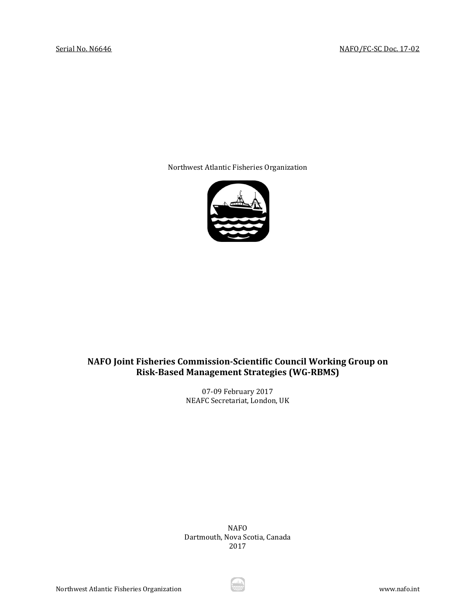Northwest Atlantic Fisheries Organization



# **NAFO Joint Fisheries Commission-Scientific Council Working Group on Risk-Based Management Strategies (WG-RBMS)**

07-09 February 2017 NEAFC Secretariat, London, UK

NAFO Dartmouth, Nova Scotia, Canada 2017

Northwest Atlantic Fisheries Organization www.nafo.int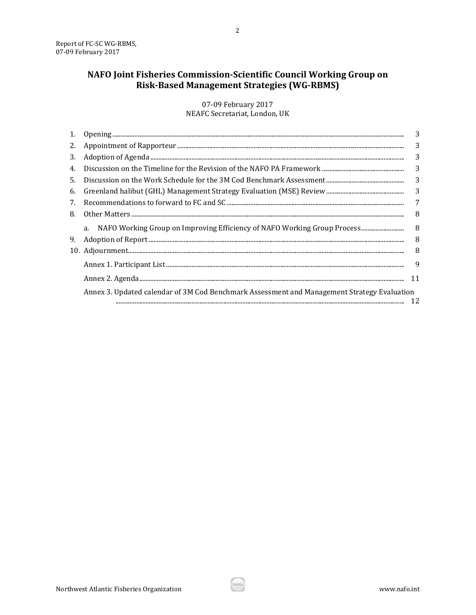# NAFO Joint Fisheries Commission-Scientific Council Working Group on Risk-Based Management Strategies (WG-RBMS)

07-09 February 2017 NEAFC Secretariat, London, UK

| 1.  |                                                                                             | 3  |
|-----|---------------------------------------------------------------------------------------------|----|
| 2.  |                                                                                             | 3  |
| 3.  |                                                                                             | 3  |
| 4.  |                                                                                             | 3  |
| .5. |                                                                                             | 3  |
| 6.  |                                                                                             | 3  |
| 7.  |                                                                                             | 7  |
| 8.  |                                                                                             | 8  |
|     | a. NAFO Working Group on Improving Efficiency of NAFO Working Group Process                 | 8  |
| 9.  |                                                                                             | 8  |
|     |                                                                                             | 8  |
|     |                                                                                             | 9  |
|     |                                                                                             | 11 |
|     | Annex 3. Updated calendar of 3M Cod Benchmark Assessment and Management Strategy Evaluation | 12 |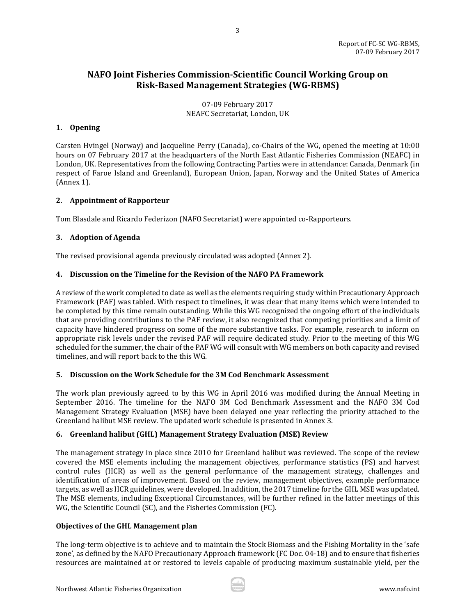# **NAFO Joint Fisheries Commission-Scientific Council Working Group on Risk-Based Management Strategies (WG-RBMS)**

07-09 February 2017 NEAFC Secretariat, London, UK

### <span id="page-2-0"></span>**1. Opening**

Carsten Hvingel (Norway) and Jacqueline Perry (Canada), co-Chairs of the WG, opened the meeting at 10:00 hours on 07 February 2017 at the headquarters of the North East Atlantic Fisheries Commission (NEAFC) in London, UK. Representatives from the following Contracting Parties were in attendance: Canada, Denmark (in respect of Faroe Island and Greenland), European Union, Japan, Norway and the United States of America (Annex 1).

### <span id="page-2-1"></span>**2. Appointment of Rapporteur**

Tom Blasdale and Ricardo Federizon (NAFO Secretariat) were appointed co-Rapporteurs.

### <span id="page-2-2"></span>**3. Adoption of Agenda**

The revised provisional agenda previously circulated was adopted (Annex 2).

### <span id="page-2-3"></span>**4. Discussion on the Timeline for the Revision of the NAFO PA Framework**

A review of the work completed to date as well as the elements requiring study within Precautionary Approach Framework (PAF) was tabled. With respect to timelines, it was clear that many items which were intended to be completed by this time remain outstanding. While this WG recognized the ongoing effort of the individuals that are providing contributions to the PAF review, it also recognized that competing priorities and a limit of capacity have hindered progress on some of the more substantive tasks. For example, research to inform on appropriate risk levels under the revised PAF will require dedicated study. Prior to the meeting of this WG scheduled for the summer, the chair of the PAF WG will consult with WG members on both capacity and revised timelines, and will report back to the this WG.

### <span id="page-2-4"></span>**5. Discussion on the Work Schedule for the 3M Cod Benchmark Assessment**

The work plan previously agreed to by this WG in April 2016 was modified during the Annual Meeting in September 2016. The timeline for the NAFO 3M Cod Benchmark Assessment and the NAFO 3M Cod Management Strategy Evaluation (MSE) have been delayed one year reflecting the priority attached to the Greenland halibut MSE review. The updated work schedule is presented in Annex 3.

### <span id="page-2-5"></span>**6. Greenland halibut (GHL) Management Strategy Evaluation (MSE) Review**

The management strategy in place since 2010 for Greenland halibut was reviewed. The scope of the review covered the MSE elements including the management objectives, performance statistics (PS) and harvest control rules (HCR) as well as the general performance of the management strategy, challenges and identification of areas of improvement. Based on the review, management objectives, example performance targets, as well as HCR guidelines, were developed. In addition, the 2017 timeline for the GHL MSE was updated. The MSE elements, including Exceptional Circumstances, will be further refined in the latter meetings of this WG, the Scientific Council (SC), and the Fisheries Commission (FC).

### **Objectives of the GHL Management plan**

The long-term objective is to achieve and to maintain the Stock Biomass and the Fishing Mortality in the 'safe zone', as defined by the NAFO Precautionary Approach framework (FC Doc. 04-18) and to ensure that fisheries resources are maintained at or restored to levels capable of producing maximum sustainable yield, per the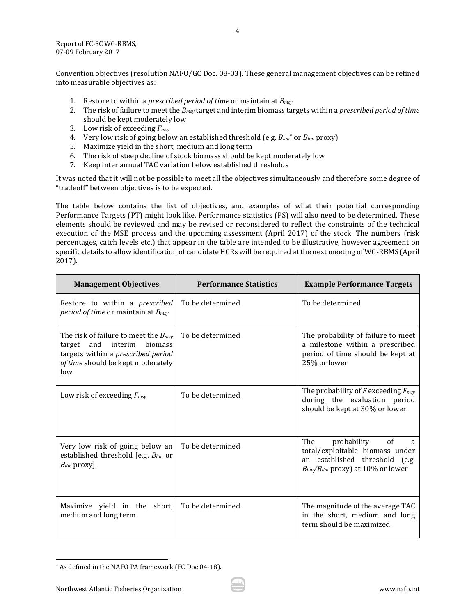Report of FC-SC WG-RBMS, 07-09 February 2017

Convention objectives (resolution NAFO/GC Doc. 08-03). These general management objectives can be refined into measurable objectives as:

- 1. Restore to within a *prescribed period of time* or maintain at *Bmsy*
- 2. The risk of failure to meet the *Bmsy* target and interim biomass targets within a *prescribed period of time* should be kept moderately low
- 3. Low risk of exceeding *Fmsy*
- 4. Very low risk of going below an established threshold (e.g. *Blim*[\\*](#page-3-0) or *Blim* proxy)
- 5. Maximize yield in the short, medium and long term
- 6. The risk of steep decline of stock biomass should be kept moderately low
- 7. Keep inter annual TAC variation below established thresholds

It was noted that it will not be possible to meet all the objectives simultaneously and therefore some degree of "tradeoff" between objectives is to be expected.

The table below contains the list of objectives, and examples of what their potential corresponding Performance Targets (PT) might look like. Performance statistics (PS) will also need to be determined. These elements should be reviewed and may be revised or reconsidered to reflect the constraints of the technical execution of the MSE process and the upcoming assessment (April 2017) of the stock. The numbers (risk percentages, catch levels etc.) that appear in the table are intended to be illustrative, however agreement on specific details to allow identification of candidate HCRs will be required at the next meeting of WG-RBMS (April 2017).

| <b>Management Objectives</b>                                                                                                                                    | <b>Performance Statistics</b> | <b>Example Performance Targets</b>                                                                                                             |
|-----------------------------------------------------------------------------------------------------------------------------------------------------------------|-------------------------------|------------------------------------------------------------------------------------------------------------------------------------------------|
| Restore to within a prescribed<br><i>period of time</i> or maintain at $B_{msy}$                                                                                | To be determined              | To be determined                                                                                                                               |
| The risk of failure to meet the $B_{msy}$<br>and interim<br>biomass<br>target<br>targets within a prescribed period<br>of time should be kept moderately<br>low | To be determined              | The probability of failure to meet<br>a milestone within a prescribed<br>period of time should be kept at<br>25% or lower                      |
| Low risk of exceeding $F_{msy}$                                                                                                                                 | To be determined              | The probability of $F$ exceeding $F_{msy}$<br>during the evaluation period<br>should be kept at 30% or lower.                                  |
| Very low risk of going below an<br>established threshold [e.g. $B_{lim}$ or<br>$B_{lim}$ proxy].                                                                | To be determined              | The<br>probability<br>of<br>a<br>total/exploitable biomass under<br>an established threshold (e.g.<br>$B_{lim}/B_{lim}$ proxy) at 10% or lower |
| Maximize yield in the short,<br>medium and long term                                                                                                            | To be determined              | The magnitude of the average TAC<br>in the short, medium and long<br>term should be maximized.                                                 |

<span id="page-3-0"></span> <sup>\*</sup> As defined in the NAFO PA framework (FC Doc 04-18).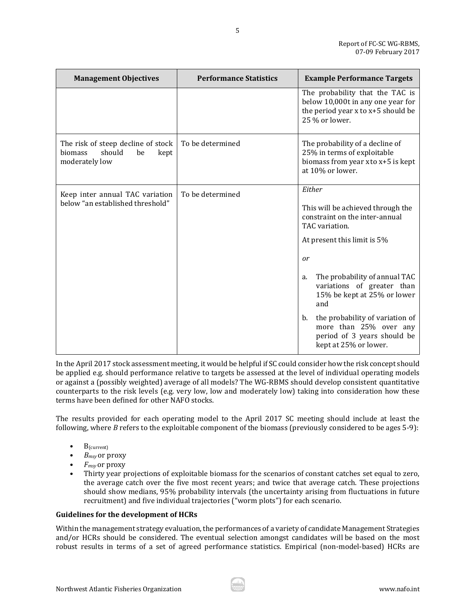| <b>Management Objectives</b>                                                                   | <b>Performance Statistics</b> | <b>Example Performance Targets</b>                                                                                                                                                                                                                                                                                                                |
|------------------------------------------------------------------------------------------------|-------------------------------|---------------------------------------------------------------------------------------------------------------------------------------------------------------------------------------------------------------------------------------------------------------------------------------------------------------------------------------------------|
|                                                                                                |                               | The probability that the TAC is<br>below 10,000t in any one year for<br>the period year x to x+5 should be<br>25 % or lower.                                                                                                                                                                                                                      |
| The risk of steep decline of stock<br><b>biomass</b><br>should<br>be<br>kept<br>moderately low | To be determined              | The probability of a decline of<br>25% in terms of exploitable<br>biomass from year x to x+5 is kept<br>at 10% or lower.                                                                                                                                                                                                                          |
| Keep inter annual TAC variation<br>below "an established threshold"                            | To be determined              | Either<br>This will be achieved through the<br>constraint on the inter-annual<br>TAC variation.<br>At present this limit is 5%<br>or<br>The probability of annual TAC<br>a.<br>variations of greater than<br>15% be kept at 25% or lower<br>and<br>the probability of variation of<br>b.<br>more than 25% over any<br>period of 3 years should be |

5

In the April 2017 stock assessment meeting, it would be helpful if SC could consider how the risk concept should be applied e.g. should performance relative to targets be assessed at the level of individual operating models or against a (possibly weighted) average of all models? The WG-RBMS should develop consistent quantitative counterparts to the risk levels (e.g. very low, low and moderately low) taking into consideration how these terms have been defined for other NAFO stocks.

The results provided for each operating model to the April 2017 SC meeting should include at least the following, where *B* refers to the exploitable component of the biomass (previously considered to be ages 5-9):

- $B_{\text{(current)}}$ <br>•  $B_{\text{msu}}$  or n
- $B_{msy}$  or proxy<br>•  $F_{msv}$  or proxy
- *Fmsy* or proxy
- Thirty year projections of exploitable biomass for the scenarios of constant catches set equal to zero, the average catch over the five most recent years; and twice that average catch. These projections should show medians, 95% probability intervals (the uncertainty arising from fluctuations in future recruitment) and five individual trajectories ("worm plots") for each scenario.

#### **Guidelines for the development of HCRs**

Within the management strategy evaluation, the performances of a variety of candidate Management Strategies and/or HCRs should be considered. The eventual selection amongst candidates will be based on the most robust results in terms of a set of agreed performance statistics. Empirical (non-model-based) HCRs are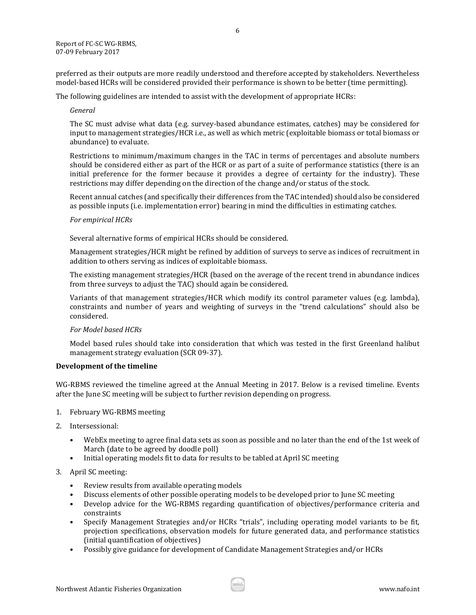preferred as their outputs are more readily understood and therefore accepted by stakeholders. Nevertheless model-based HCRs will be considered provided their performance is shown to be better (time permitting).

The following guidelines are intended to assist with the development of appropriate HCRs:

#### *General*

The SC must advise what data (e.g. survey-based abundance estimates, catches) may be considered for input to management strategies/HCR i.e., as well as which metric (exploitable biomass or total biomass or abundance) to evaluate.

Restrictions to minimum/maximum changes in the TAC in terms of percentages and absolute numbers should be considered either as part of the HCR or as part of a suite of performance statistics (there is an initial preference for the former because it provides a degree of certainty for the industry). These restrictions may differ depending on the direction of the change and/or status of the stock.

Recent annual catches (and specifically their differences from the TAC intended) should also be considered as possible inputs (i.e. implementation error) bearing in mind the difficulties in estimating catches.

### *For empirical HCRs*

Several alternative forms of empirical HCRs should be considered.

Management strategies/HCR might be refined by addition of surveys to serve as indices of recruitment in addition to others serving as indices of exploitable biomass.

The existing management strategies/HCR (based on the average of the recent trend in abundance indices from three surveys to adjust the TAC) should again be considered.

Variants of that management strategies/HCR which modify its control parameter values (e.g. lambda), constraints and number of years and weighting of surveys in the "trend calculations" should also be considered.

### *For Model based HCRs*

Model based rules should take into consideration that which was tested in the first Greenland halibut management strategy evaluation (SCR 09-37).

### **Development of the timeline**

WG-RBMS reviewed the timeline agreed at the Annual Meeting in 2017. Below is a revised timeline. Events after the June SC meeting will be subject to further revision depending on progress.

- 1. February WG-RBMS meeting
- 2. Intersessional:
	- WebEx meeting to agree final data sets as soon as possible and no later than the end of the 1st week of March (date to be agreed by doodle poll)
	- Initial operating models fit to data for results to be tabled at April SC meeting
- 3. April SC meeting:
	- Review results from available operating models
	- Discuss elements of other possible operating models to be developed prior to June SC meeting
	- Develop advice for the WG-RBMS regarding quantification of objectives/performance criteria and constraints
	- Specify Management Strategies and/or HCRs "trials", including operating model variants to be fit, projection specifications, observation models for future generated data, and performance statistics (initial quantification of objectives)
	- Possibly give guidance for development of Candidate Management Strategies and/or HCRs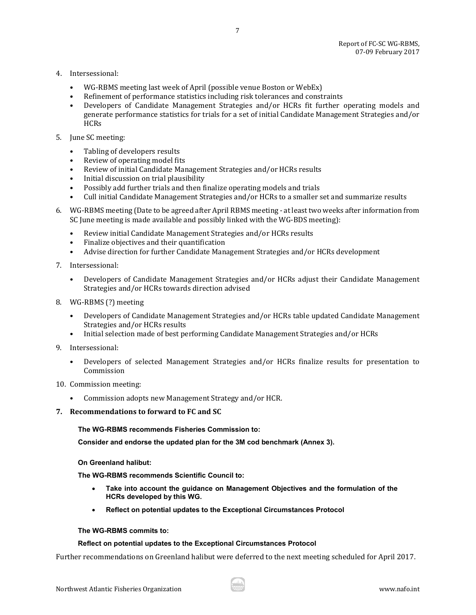- 4. Intersessional:
	- WG-RBMS meeting last week of April (possible venue Boston or WebEx)
	- Refinement of performance statistics including risk tolerances and constraints<br>• Developers of Candidate Management Strategies and/or HCRs fit further
	- Developers of Candidate Management Strategies and/or HCRs fit further operating models and generate performance statistics for trials for a set of initial Candidate Management Strategies and/or **HCRs**

7

- 5. June SC meeting:
	- Tabling of developers results
	- Review of operating model fits
	- Review of initial Candidate Management Strategies and/or HCRs results
	- Initial discussion on trial plausibility
	- Possibly add further trials and then finalize operating models and trials
	- Cull initial Candidate Management Strategies and/or HCRs to a smaller set and summarize results
- 6. WG-RBMS meeting (Date to be agreed after April RBMS meeting at least two weeks after information from SC June meeting is made available and possibly linked with the WG-BDS meeting):
	- Review initial Candidate Management Strategies and/or HCRs results<br>• Finalize objectives and their quantification
	- Finalize objectives and their quantification<br>• Advise direction for further Candidate Man
	- Advise direction for further Candidate Management Strategies and/or HCRs development
- 7. Intersessional:
	- Developers of Candidate Management Strategies and/or HCRs adjust their Candidate Management Strategies and/or HCRs towards direction advised
- 8. WG-RBMS (?) meeting
	- Developers of Candidate Management Strategies and/or HCRs table updated Candidate Management Strategies and/or HCRs results
	- Initial selection made of best performing Candidate Management Strategies and/or HCRs
- 9. Intersessional:
	- Developers of selected Management Strategies and/or HCRs finalize results for presentation to Commission
- 10. Commission meeting:
	- Commission adopts new Management Strategy and/or HCR.
- <span id="page-6-0"></span>**7. Recommendations to forward to FC and SC**

**The WG-RBMS recommends Fisheries Commission to:**

**Consider and endorse the updated plan for the 3M cod benchmark (Annex 3).** 

**On Greenland halibut:**

**The WG-RBMS recommends Scientific Council to:**

- **Take into account the guidance on Management Objectives and the formulation of the HCRs developed by this WG.**
- **Reflect on potential updates to the Exceptional Circumstances Protocol**

#### **The WG-RBMS commits to:**

#### **Reflect on potential updates to the Exceptional Circumstances Protocol**

Further recommendations on Greenland halibut were deferred to the next meeting scheduled for April 2017.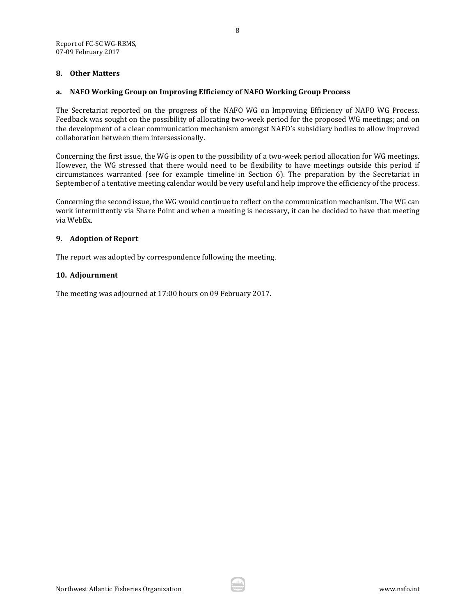#### <span id="page-7-0"></span>**8. Other Matters**

#### <span id="page-7-1"></span>**a. NAFO Working Group on Improving Efficiency of NAFO Working Group Process**

The Secretariat reported on the progress of the NAFO WG on Improving Efficiency of NAFO WG Process. Feedback was sought on the possibility of allocating two-week period for the proposed WG meetings; and on the development of a clear communication mechanism amongst NAFO's subsidiary bodies to allow improved collaboration between them intersessionally.

Concerning the first issue, the WG is open to the possibility of a two-week period allocation for WG meetings. However, the WG stressed that there would need to be flexibility to have meetings outside this period if circumstances warranted (see for example timeline in Section 6). The preparation by the Secretariat in September of a tentative meeting calendar would be very useful and help improve the efficiency of the process.

Concerning the second issue, the WG would continue to reflect on the communication mechanism. The WG can work intermittently via Share Point and when a meeting is necessary, it can be decided to have that meeting via WebEx.

#### <span id="page-7-2"></span>**9. Adoption of Report**

The report was adopted by correspondence following the meeting.

#### <span id="page-7-3"></span>**10. Adjournment**

The meeting was adjourned at 17:00 hours on 09 February 2017.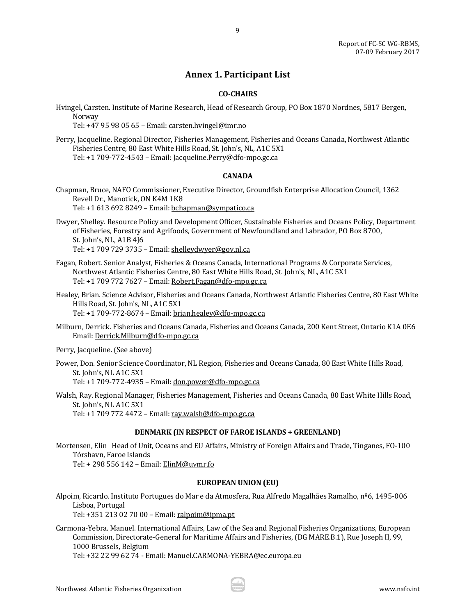### **Annex 1. Participant List**

9

#### **CO-CHAIRS**

<span id="page-8-0"></span>Hvingel, Carsten. Institute of Marine Research, Head of Research Group, PO Box 1870 Nordnes, 5817 Bergen, Norway

Tel: +47 95 98 05 65 – Email[: carsten.hvingel@imr.no](mailto:carsten.hvingel@imr.no)

Perry, Jacqueline. Regional Director, Fisheries Management, Fisheries and Oceans Canada, Northwest Atlantic Fisheries Centre, 80 East White Hills Road, St. John's, NL, A1C 5X1 Tel: +1 709-772-4543 – Email: [Jacqueline.Perry@dfo-mpo.gc.ca](mailto:Jacqueline.Perry@dfo-mpo.gc.ca)

#### **CANADA**

- Chapman, Bruce, NAFO Commissioner, Executive Director, Groundfish Enterprise Allocation Council, 1362 Revell Dr., Manotick, ON K4M 1K8 Tel: +1 613 692 8249 – Email[: bchapman@sympatico.ca](mailto:bchapman@sympatico.ca)
- Dwyer, Shelley. Resource Policy and Development Officer, Sustainable Fisheries and Oceans Policy, Department of Fisheries, Forestry and Agrifoods, Government of Newfoundland and Labrador, PO Box 8700, St. John's, NL, A1B 4J6 Tel: +1 709 729 3735 – Email[: shelleydwyer@gov.nl.ca](mailto:shelleydwyer@gov.nl.ca)
- Fagan, Robert. Senior Analyst, Fisheries & Oceans Canada, International Programs & Corporate Services, Northwest Atlantic Fisheries Centre, 80 East White Hills Road, St. John's, NL, A1C 5X1 Tel: +1 709 772 7627 – Email[: Robert.Fagan@dfo-mpo.gc.ca](mailto:Robert.Fagan@dfo-mpo.gc.ca)
- Healey, Brian. Science Advisor, Fisheries and Oceans Canada, Northwest Atlantic Fisheries Centre, 80 East White Hills Road, St. John's, NL, A1C 5X1 Tel: +1 709-772-8674 - Email: [brian.healey@dfo-mpo.gc.ca](mailto:brian.healey@dfo-mpo.gc.ca)
- Milburn, Derrick. Fisheries and Oceans Canada, Fisheries and Oceans Canada, 200 Kent Street, Ontario K1A 0E6 Email[: Derrick.Milburn@dfo-mpo.gc.ca](mailto:Derrick.Milburn@dfo-mpo.gc.ca)

Perry, Jacqueline. (See above)

Power, Don. Senior Science Coordinator, NL Region, Fisheries and Oceans Canada, 80 East White Hills Road, St. John's, NL A1C 5X1 Tel: +1 709-772-4935 – Email: [don.power@dfo-mpo.gc.ca](mailto:don.power@dfo-mpo.gc.ca)

Walsh, Ray. Regional Manager, Fisheries Management, Fisheries and Oceans Canada, 80 East White Hills Road, St. John's, NL A1C 5X1 Tel: +1 709 772 4472 – Email[: ray.walsh@dfo-mpo.gc.ca](mailto:ray.walsh@dfo-mpo.gc.ca)

#### **DENMARK (IN RESPECT OF FAROE ISLANDS + GREENLAND)**

Mortensen, Elin Head of Unit, Oceans and EU Affairs, Ministry of Foreign Affairs and Trade, Tinganes, FO-100 Tórshavn, Faroe Islands Tel: + 298 556 142 – Email: [ElinM@uvmr.fo](mailto:ElinM@uvmr.fo)

#### **EUROPEAN UNION (EU)**

Alpoim, Ricardo. Instituto Portugues do Mar e da Atmosfera, Rua Alfredo Magalhães Ramalho, nº6, 1495-006 Lisboa, Portugal

Tel: +351 213 02 70 00 – Email[: ralpoim@ipma.pt](mailto:ralpoim@ipma.pt)

Carmona-Yebra. Manuel. International Affairs, Law of the Sea and Regional Fisheries Organizations, European Commission, Directorate-General for Maritime Affairs and Fisheries, (DG MARE.B.1), Rue Joseph II, 99, 1000 Brussels, Belgium

Tel: +32 22 99 62 74 - Email[: Manuel.CARMONA-YEBRA@ec.europa.eu](mailto:Manuel.CARMONA-YEBRA@ec.europa.eu)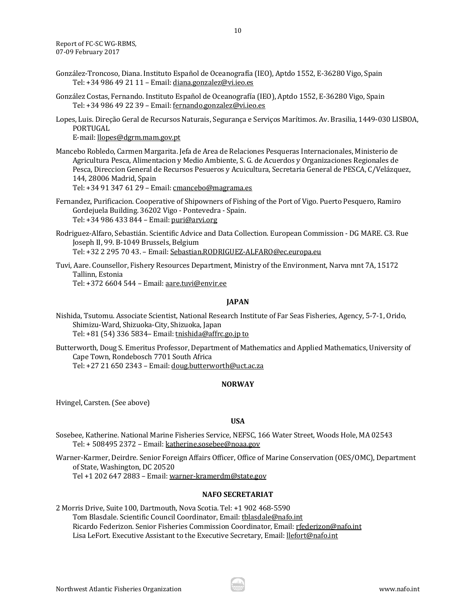- González-Troncoso, Diana. Instituto Español de Oceanografía (IEO), Aptdo 1552, E-36280 Vigo, Spain Tel: +34 986 49 21 11 – Email: [diana.gonzalez@vi.ieo.es](mailto:diana.gonzalez@vi.ieo.es)
- González Costas, Fernando. Instituto Español de Oceanografía (IEO), Aptdo 1552, E-36280 Vigo, Spain Tel: +34 986 49 22 39 – Email: [fernando.gonzalez@vi.ieo.es](mailto:fernando.gonzalez@vi.ieo.es)
- Lopes, Luis. Direção Geral de Recursos Naturais, Segurança e Serviços Marítimos. Av. Brasilia, 1449-030 LISBOA, PORTUGAL

E-mail[: llopes@dgrm.mam.gov.pt](mailto:llopes@dgrm.mam.gov.pt)

Mancebo Robledo, Carmen Margarita. Jefa de Area de Relaciones Pesqueras Internacionales, Ministerio de Agricultura Pesca, Alimentacion y Medio Ambiente, S. G. de Acuerdos y Organizaciones Regionales de Pesca, Direccion General de Recursos Pesueros y Acuicultura, Secretaria General de PESCA, C/Velázquez, 144, 28006 Madrid, Spain

Tel: +34 91 347 61 29 – Email: [cmancebo@magrama.es](mailto:cmancebo@magrama.es)

- Fernandez, Purificacion. Cooperative of Shipowners of Fishing of the Port of Vigo. Puerto Pesquero, Ramiro Gordejuela Building. 36202 Vigo - Pontevedra - Spain. Tel: +34 986 433 844 – Email[: puri@arvi.org](mailto:puri@arvi.org)
- Rodriguez-Alfaro, Sebastián. Scientific Advice and Data Collection. European Commission DG MARE. C3. Rue Joseph II, 99. B-1049 Brussels, Belgium Tel: +32 2 295 70 43. – Email[: Sebastian.RODRIGUEZ-ALFARO@ec.europa.eu](mailto:Sebastian.RODRIGUEZ-ALFARO@ec.europa.eu)
- Tuvi, Aare. Counsellor, Fishery Resources Department, Ministry of the Environment, Narva mnt 7A, 15172 Tallinn, Estonia Tel: +372 6604 544 – Email[: aare.tuvi@envir.ee](mailto:aare.tuvi@envir.ee)

#### **JAPAN**

- Nishida, Tsutomu. Associate Scientist, National Research Institute of Far Seas Fisheries, Agency, 5-7-1, Orido, Shimizu-Ward, Shizuoka-City, Shizuoka, Japan Tel: +81 (54) 336 5834– Email: tnishida@affrc.go.jp to
- Butterworth, Doug S. Emeritus Professor, Department of Mathematics and Applied Mathematics, University of Cape Town, Rondebosch 7701 South Africa Tel: +27 21 650 2343 – Email[: doug.butterworth@uct.ac.za](mailto:doug.butterworth@uct.ac.za)

### **NORWAY**

Hvingel, Carsten. (See above)

### **USA**

- Sosebee, Katherine. National Marine Fisheries Service, NEFSC, 166 Water Street, Woods Hole, MA 02543 Tel: + 508495 2372 – Email[: katherine.sosebee@noaa.gov](mailto:katherine.sosebee@noaa.gov)
- Warner-Karmer, Deirdre. Senior Foreign Affairs Officer, Office of Marine Conservation (OES/OMC), Department of State, Washington, DC 20520

Tel +1 202 647 2883 – Email[: warner-kramerdm@state.gov](mailto:warner-kramerdm@state.gov)

#### **NAFO SECRETARIAT**

2 Morris Drive, Suite 100, Dartmouth, Nova Scotia. Tel: +1 902 468-5590 Tom Blasdale. Scientific Council Coordinator, Email: thlasdale@nafo.int Ricardo Federizon. Senior Fisheries Commission Coordinator, Email: [rfederizon@nafo.int](mailto:rfederizon@nafo.int) Lisa LeFort. Executive Assistant to the Executive Secretary, Email: [llefort@nafo.int](mailto:llefort@nafo.int)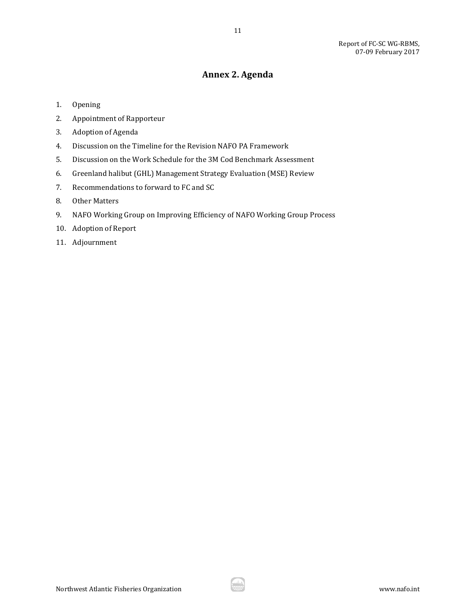# **Annex 2. Agenda**

- <span id="page-10-0"></span>1. Opening
- 2. Appointment of Rapporteur
- 3. Adoption of Agenda
- 4. Discussion on the Timeline for the Revision NAFO PA Framework
- 5. Discussion on the Work Schedule for the 3M Cod Benchmark Assessment
- 6. Greenland halibut (GHL) Management Strategy Evaluation (MSE) Review
- 7. Recommendations to forward to FC and SC
- 8. Other Matters
- 9. NAFO Working Group on Improving Efficiency of NAFO Working Group Process
- 10. Adoption of Report
- 11. Adjournment